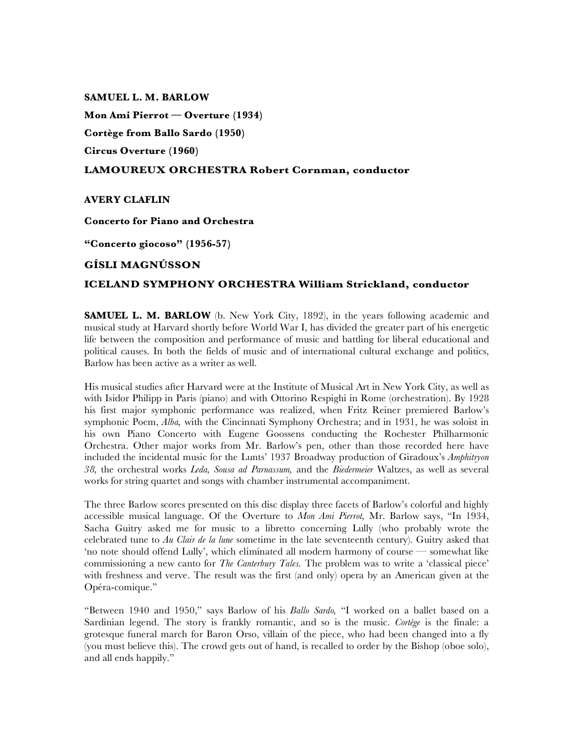### **SAMUEL L. M. BARLOW**

**Mon Ami Pierrot — Overture (1934) Cortège from Ballo Sardo (1950) Circus Overture (1960)**

# **LAMOUREUX ORCHESTRA Robert Cornman, conductor**

## **AVERY CLAFLIN**

## **Concerto for Piano and Orchestra**

**"Concerto giocoso" (1956-57)**

# **GÍSLI MAGNÚSSON**

# **ICELAND SYMPHONY ORCHESTRA William Strickland, conductor**

**SAMUEL L. M. BARLOW** (b. New York City, 1892), in the years following academic and musical study at Harvard shortly before World War I, has divided the greater part of his energetic life between the composition and performance of music and battling for liberal educational and political causes. In both the fields of music and of international cultural exchange and politics, Barlow has been active as a writer as well.

His musical studies after Harvard were at the Institute of Musical Art in New York City, as well as with Isidor Philipp in Paris (piano) and with Ottorino Respighi in Rome (orchestration). By 1928 his first major symphonic performance was realized, when Fritz Reiner premiered Barlow's symphonic Poem, *Alba,* with the Cincinnati Symphony Orchestra; and in 1931, he was soloist in his own Piano Concerto with Eugene Goossens conducting the Rochester Philharmonic Orchestra. Other major works from Mr. Barlow's pen, other than those recorded here have included the incidental music for the Lunts' 1937 Broadway production of Giradoux's *Amphitryon 38,* the orchestral works *Leda, Sousa ad Parnassum,* and the *Biedermeier* Waltzes, as well as several works for string quartet and songs with chamber instrumental accompaniment.

The three Barlow scores presented on this disc display three facets of Barlow's colorful and highly accessible musical language. Of the Overture to *Mon Ami Pierrot,* Mr. Barlow says, "In 1934, Sacha Guitry asked me for music to a libretto concerning Lully (who probably wrote the celebrated tune to *Au Clair de la lune* sometime in the late seventeenth century). Guitry asked that 'no note should offend Lully', which eliminated all modern harmony of course — somewhat like commissioning a new canto for *The Canterbury Tales.* The problem was to write a 'classical piece' with freshness and verve. The result was the first (and only) opera by an American given at the Opéra-comique."

"Between 1940 and 1950," says Barlow of his *Ballo Sardo,* "I worked on a ballet based on a Sardinian legend. The story is frankly romantic, and so is the music. *Cortège* is the finale: a grotesque funeral march for Baron Orso, villain of the piece, who had been changed into a fly (you must believe this). The crowd gets out of hand, is recalled to order by the Bishop (oboe solo), and all ends happily."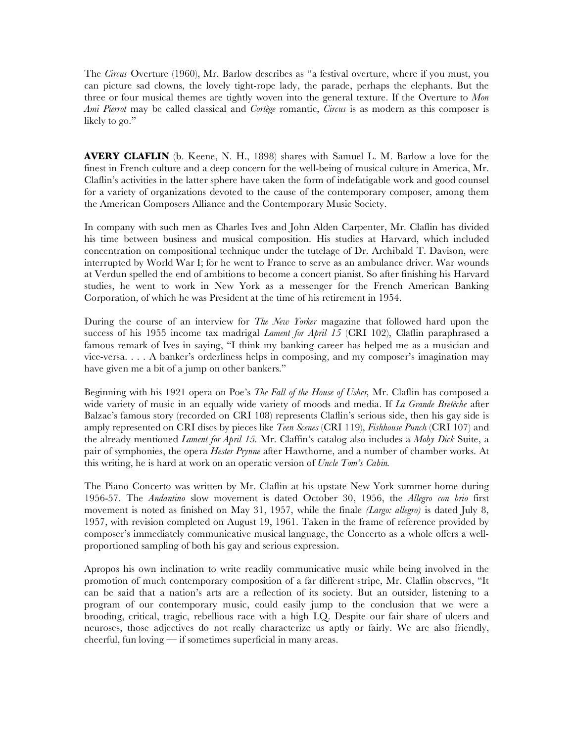The *Circus* Overture (1960), Mr. Barlow describes as "a festival overture, where if you must, you can picture sad clowns, the lovely tight-rope lady, the parade, perhaps the elephants. But the three or four musical themes are tightly woven into the general texture. If the Overture to *Mon Ami Pierrot* may be called classical and *Cortège* romantic, *Circus* is as modern as this composer is likely to go."

**AVERY CLAFLIN** (b. Keene, N. H., 1898) shares with Samuel L. M. Barlow a love for the finest in French culture and a deep concern for the well-being of musical culture in America, Mr. Claflin's activities in the latter sphere have taken the form of indefatigable work and good counsel for a variety of organizations devoted to the cause of the contemporary composer, among them the American Composers Alliance and the Contemporary Music Society.

In company with such men as Charles Ives and John Alden Carpenter, Mr. Claflin has divided his time between business and musical composition. His studies at Harvard, which included concentration on compositional technique under the tutelage of Dr. Archibald T. Davison, were interrupted by World War I; for he went to France to serve as an ambulance driver. War wounds at Verdun spelled the end of ambitions to become a concert pianist. So after finishing his Harvard studies, he went to work in New York as a messenger for the French American Banking Corporation, of which he was President at the time of his retirement in 1954.

During the course of an interview for *The New Yorker* magazine that followed hard upon the success of his 1955 income tax madrigal *Lament for April 15* (CRI 102), Claflin paraphrased a famous remark of Ives in saying, "I think my banking career has helped me as a musician and vice-versa. . . . A banker's orderliness helps in composing, and my composer's imagination may have given me a bit of a jump on other bankers."

Beginning with his 1921 opera on Poe's *The Fall of the House of Usher,* Mr. Claflin has composed a wide variety of music in an equally wide variety of moods and media. If *La Grande Bretèche* after Balzac's famous story (recorded on CRI 108) represents Claflin's serious side, then his gay side is amply represented on CRI discs by pieces like *Teen Scenes* (CRI 119), *Fishhouse Punch* (CRI 107) and the already mentioned *Lament for April 15.* Mr. Claffin's catalog also includes a *Moby Dick* Suite, a pair of symphonies, the opera *Hester Prynne* after Hawthorne, and a number of chamber works. At this writing, he is hard at work on an operatic version of *Uncle Tom's Cabin.*

The Piano Concerto was written by Mr. Claflin at his upstate New York summer home during 1956-57. The *Andantino* slow movement is dated October 30, 1956, the *Allegro con brio* first movement is noted as finished on May 31, 1957, while the finale *(Largo: allegro)* is dated July 8, 1957, with revision completed on August 19, 1961. Taken in the frame of reference provided by composer's immediately communicative musical language, the Concerto as a whole offers a wellproportioned sampling of both his gay and serious expression.

Apropos his own inclination to write readily communicative music while being involved in the promotion of much contemporary composition of a far different stripe, Mr. Claflin observes, "It can be said that a nation's arts are a reflection of its society. But an outsider, listening to a program of our contemporary music, could easily jump to the conclusion that we were a brooding, critical, tragic, rebellious race with a high I.Q. Despite our fair share of ulcers and neuroses, those adjectives do not really characterize us aptly or fairly. We are also friendly, cheerful, fun loving — if sometimes superficial in many areas.